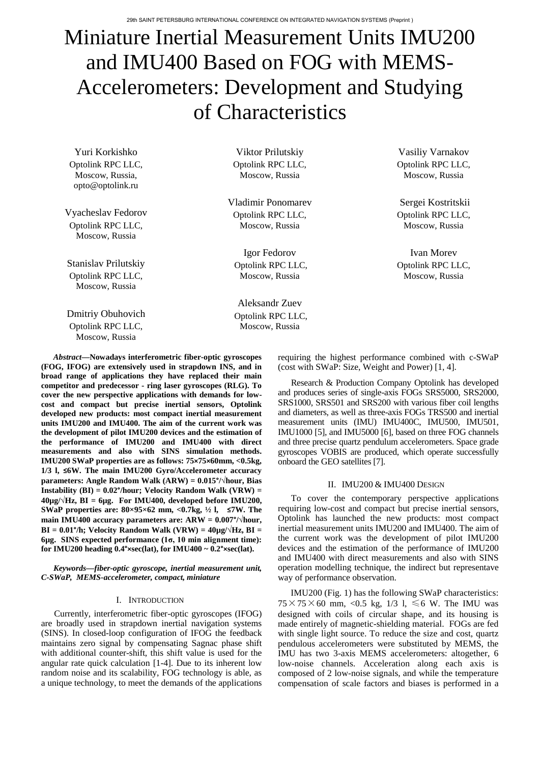# Miniature Inertial Measurement Units IMU200 and IMU400 Based on FOG with MEMS-Accelerometers: Development and Studying of Characteristics

Yuri Korkishko Optolink RPC LLC, Moscow, Russia, opto@optolink.ru

Vyacheslav Fedorov Optolink RPC LLC, Moscow, Russia

Stanislav Prilutskiy Optolink RPC LLC, Moscow, Russia

Dmitriy Obuhovich Optolink RPC LLC, Moscow, Russia

Viktor Prilutskiy Optolink RPC LLC, Moscow, Russia

Vladimir Ponomarev Optolink RPC LLC, Moscow, Russia

Igor Fedorov Optolink RPC LLC, Moscow, Russia

Aleksandr Zuev Optolink RPC LLC, Moscow, Russia

*Abstract***—Nowadays interferometric fiber-optic gyroscopes (FOG, IFOG) are extensively used in strapdown INS, and in broad range of applications they have replaced their main competitor and predecessor - ring laser gyroscopes (RLG). To cover the new perspective applications with demands for lowcost and compact but precise inertial sensors, Optolink developed new products: most compact inertial measurement units IMU200 and IMU400. The aim of the current work was the development of pilot IMU200 devices and the estimation of the performance of IMU200 and IMU400 with direct measurements and also with SINS simulation methods. IMU200 SWaP properties are as follows: 75×75×60mm, <0.5kg, 1/3 l, ≤6W. The main IMU200 Gyro/Accelerometer accuracy parameters: Angle Random Walk (ARW) = 0.015°/√hour, Bias Instability (BI) = 0.02°/hour; Velocity Random Walk (VRW) = 40µg/√Hz, BI = 6µg. For IMU400, developed before IMU200, SWaP properties are: 80×95×62 mm, <0.7kg, ½ l, ≤7W. The main IMU400 accuracy parameters are: ARW = 0.007°/√hour, BI** =  $0.01^{\circ}/h$ ; Velocity Random Walk (VRW) =  $40\mu g/\sqrt{Hz}$ , BI = **6µg. SINS expected performance (1σ, 10 min alignment time): for IMU200 heading 0.4°×sec(lat), for IMU400 ~ 0.2°×sec(lat).** 

*Keywords—fiber-optic gyroscope, inertial measurement unit, C-SWaP, MEMS-accelerometer, compact, miniature*

## I. INTRODUCTION

Currently, interferometric fiber-optic gyroscopes (IFOG) are broadly used in strapdown inertial navigation systems (SINS). In closed-loop configuration of IFOG the feedback maintains zero signal by compensating Sagnac phase shift with additional counter-shift, this shift value is used for the angular rate quick calculation [1-4]. Due to its inherent low random noise and its scalability, FOG technology is able, as a unique technology, to meet the demands of the applications requiring the highest performance combined with c-SWaP (cost with SWaP: Size, Weight and Power) [1, 4].

Research & Production Company Optolink has developed and produces series of single-axis FOGs SRS5000, SRS2000, SRS1000, SRS501 and SRS200 with various fiber coil lengths and diameters, as well as three-axis FOGs TRS500 and inertial measurement units (IMU) IMU400C, IMU500, IMU501, IMU1000 [5], and IMU5000 [6], based on three FOG channels and three precise quartz pendulum accelerometers. Space grade gyroscopes VOBIS are produced, which operate successfully onboard the GEO satellites [7].

## II. IMU200 & IMU400 DESIGN

To cover the contemporary perspective applications requiring low-cost and compact but precise inertial sensors, Optolink has launched the new products: most compact inertial measurement units IMU200 and IMU400. The aim of the current work was the development of pilot IMU200 devices and the estimation of the performance of IMU200 and IMU400 with direct measurements and also with SINS operation modelling technique, the indirect but representave way of performance observation.

IMU200 (Fig. 1) has the following SWaP characteristics:  $75 \times 75 \times 60$  mm, <0.5 kg, 1/3 l,  $\leq 6$  W. The IMU was designed with coils of circular shape, and its housing is made entirely of magnetic-shielding material. FOGs are fed with single light source. To reduce the size and cost, quartz pendulous accelerometers were substituted by MEMS, the IMU has two 3-axis MEMS accelerometers: altogether, 6 low-noise channels. Acceleration along each axis is composed of 2 low-noise signals, and while the temperature compensation of scale factors and biases is performed in a

Vasiliy Varnakov Optolink RPC LLC, Moscow, Russia

Sergei Kostritskii Optolink RPC LLC, Moscow, Russia

Ivan Morev Optolink RPC LLC, Moscow, Russia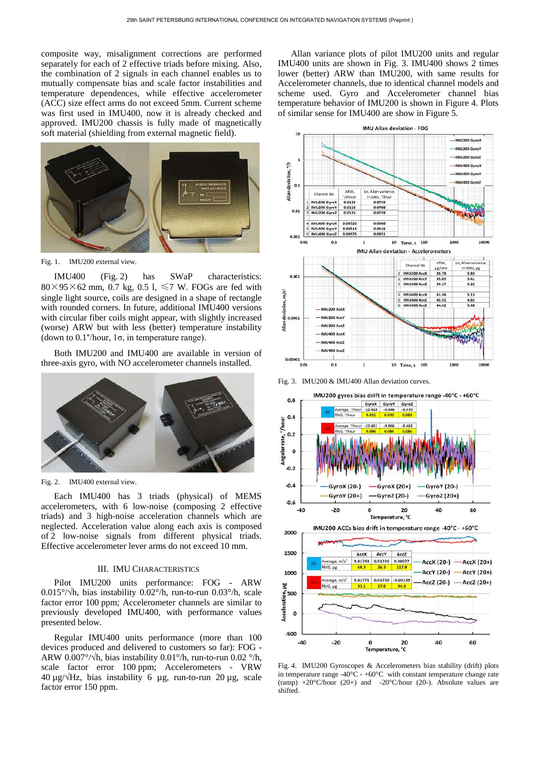composite way, misalignment corrections are performed separately for each of 2 effective triads before mixing. Also, the combination of 2 signals in each channel enables us to mutually compensate bias and scale factor instabilities and temperature dependences, while effective accelerometer (ACC) size effect arms do not exceed 5mm. Current scheme was first used in IMU400, now it is already checked and approved. IMU200 chassis is fully made of magnetically soft material (shielding from external magnetic field).



Fig. 1. IMU200 external view.

IMU400 (Fig. 2) has SWaP characteristics:  $80\times95\times62$  mm, 0.7 kg, 0.5 l,  $\leq 7$  W. FOGs are fed with single light source, coils are designed in a shape of rectangle with rounded corners. In future, additional IMU400 versions with circular fiber coils might appear, with slightly increased (worse) ARW but with less (better) temperature instability (down to 0.1°/hour, 1σ, in temperature range).

Both IMU200 and IMU400 are available in version of three-axis gyro, with NO accelerometer channels installed.



Fig. 2. IMU400 external view.

Each IMU400 has 3 triads (physical) of MEMS accelerometers, with 6 low-noise (composing 2 effective triads) and 3 high-noise acceleration channels which are neglected. Acceleration value along each axis is composed of 2 low-noise signals from different physical triads. Effective accelerometer lever arms do not exceed 10 mm.

# III. IMU CHARACTERISTICS

Pilot IMU200 units performance: FOG - ARW 0.015°/ $\sqrt{h}$ , bias instability 0.02°/h, run-to-run 0.03°/h, scale factor error 100 ppm; Accelerometer channels are similar to previously developed IMU400, with performance values presented below.

Regular IMU400 units performance (more than 100 devices produced and delivered to customers so far): FOG - ARW 0.007°/ $\sqrt{h}$ , bias instability 0.01°/h, run-to-run 0.02 °/h, scale factor error 100 ppm; Accelerometers - VRW  $40 \mu g/\sqrt{Hz}$ , bias instability 6  $\mu g$ , run-to-run 20  $\mu g$ , scale factor error 150 ppm.

Allan variance plots of pilot IMU200 units and regular IMU400 units are shown in Fig. 3. IMU400 shows 2 times lower (better) ARW than IMU200, with same results for Accelerometer channels, due to identical channel models and scheme used. Gyro and Accelerometer channel bias temperature behavior of IMU200 is shown in Figure 4. Plots of similar sense for IMU400 are show in Figure 5.



Fig. 3. IMU200 & IMU400 Allan deviation curves.



Fig. 4. IMU200 Gyroscopes & Accelerometers bias stability (drift) plots in temperature range -40 $^{\circ}$ C - +60 $^{\circ}$ C with constant temperature change rate (ramp)  $+20^{\circ}$ C/hour (20+) and  $-20^{\circ}$ C/hour (20-). Absolute values are shifted.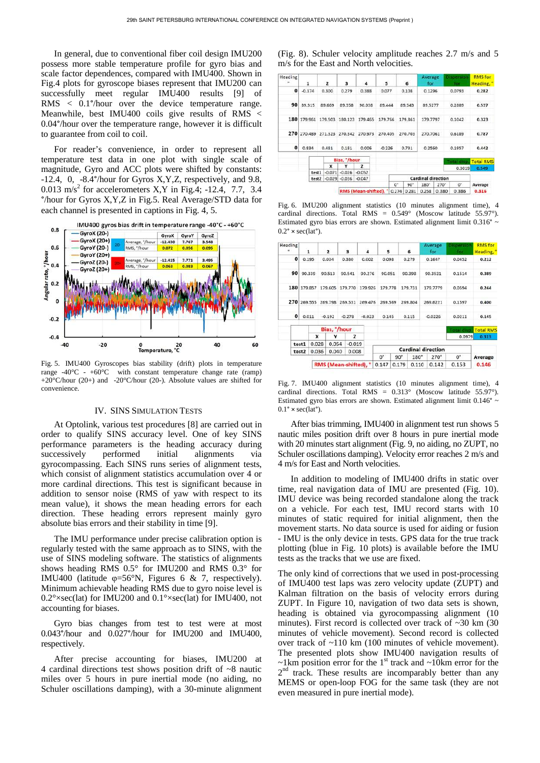In general, due to conventional fiber coil design IMU200 possess more stable temperature profile for gyro bias and scale factor dependences, compared with IMU400. Shown in Fig.4 plots for gyroscope biases represent that IMU200 can successfully meet regular IMU400 results [9] of RMS < 0.1°/hour over the device temperature range. Meanwhile, best IMU400 coils give results of RMS < 0.04°/hour over the temperature range, however it is difficult to guarantee from coil to coil.

For reader's convenience, in order to represent all temperature test data in one plot with single scale of magnitude, Gyro and ACC plots were shifted by constants: -12.4, 0, -8.4°/hour for Gyros X,Y,Z, respectively, and 9.8, 0.013 m/s<sup>2</sup> for accelerometers X,Y in Fig.4; -12.4, 7.7, 3.4 °/hour for Gyros X,Y,Z in Fig.5. Real Average/STD data for each channel is presented in captions in Fig. 4, 5.



Fig. 5. IMU400 Gyroscopes bias stability (drift) plots in temperature range  $-40^{\circ}$ C -  $+60^{\circ}$ C with constant temperature change rate (ramp) +20°C/hour (20+) and -20°C/hour (20-). Absolute values are shifted for convenience.

## IV. SINS SIMULATION TESTS

At Optolink, various test procedures [8] are carried out in order to qualify SINS accuracy level. One of key SINS performance parameters is the heading accuracy during successively performed initial alignments via gyrocompassing. Each SINS runs series of alignment tests, which consist of alignment statistics accumulation over 4 or more cardinal directions. This test is significant because in addition to sensor noise (RMS of yaw with respect to its mean value), it shows the mean heading errors for each direction. These heading errors represent mainly gyro absolute bias errors and their stability in time [9].

The IMU performance under precise calibration option is regularly tested with the same approach as to SINS, with the use of SINS modeling software. The statistics of alignments shows heading RMS 0.5° for IMU200 and RMS 0.3° for IMU400 (latitude φ=56°N, Figures 6 & 7, respectively). Minimum achievable heading RMS due to gyro noise level is 0.2°×sec(lat) for IMU200 and 0.1°×sec(lat) for IMU400, not accounting for biases.

Gyro bias changes from test to test were at most 0.043°/hour and 0.027°/hour for IMU200 and IMU400, respectively.

After precise accounting for biases, IMU200 at 4 cardinal directions test shows position drift of ~8 nautic miles over 5 hours in pure inertial mode (no aiding, no Schuler oscillations damping), with a 30-minute alignment

(Fig. 8). Schuler velocity amplitude reaches 2.7 m/s and 5 m/s for the East and North velocities.

| Heading<br>$\blacksquare$ | $\mathbf{1}$      |         | $\overline{z}$ | $\overline{\mathbf{3}}$ | 4        | 5        |       | 6               | Average<br>for            |        | <b>Dispersion</b><br><b>for</b> | <b>RMS</b> for<br>Heading, |
|---------------------------|-------------------|---------|----------------|-------------------------|----------|----------|-------|-----------------|---------------------------|--------|---------------------------------|----------------------------|
| $\mathbf 0$               | $-0.374$<br>0.300 |         | 0.279          | 0.388                   | 0.077    |          | 0.108 | 0.1296          |                           | 0.0793 | 0.282                           |                            |
| 90                        |                   | 89.315  | 89,669         | 89.358                  | 90.038   | 89,444   |       | 89.343          | 89.5277                   |        | 0.2889                          | 0.537                      |
| 180                       |                   | 179.961 | 179.503        | 180.123                 | 179,465  | 179,766  |       | 179.861         | 179.7797                  |        | 0.1042                          | 0.323                      |
| 270                       |                   | 270,489 | 271.323        | 270.342                 | 270.973  | 270.405  |       | 270.703         | 270.7061                  |        | 0.6189                          | 0.787                      |
| 0                         | 0.834             |         | 0.481          | 0.181                   | 0.006    | $-0.226$ |       | 0.731<br>0.2560 |                           |        | 0.1957                          | 0.442                      |
|                           |                   |         |                | Bias, "/hour            |          |          |       |                 |                           |        | <b>Total disp.</b>              | <b>Total RMS</b>           |
|                           |                   |         | x              | ٧                       | z        |          |       |                 |                           |        | 0.3019                          | 0.549                      |
|                           |                   | test1   | $-0.071$       | $-0.026$                | $-0.052$ |          |       |                 |                           |        |                                 |                            |
|                           | test2             |         | $-0.029$       | $-0.036$                | $-0.047$ |          |       |                 | <b>Cardinal direction</b> |        |                                 |                            |
|                           |                   |         |                |                         |          |          | $O^*$ | $90^\circ$      | 180°                      | 270°   | $O*$                            | Average                    |
|                           |                   |         |                | RMS (Mean-shifted), °   |          |          | 0.274 | 0.281           | 0.258                     | 0.380  | 0.386                           | 0.316                      |

Fig. 6. IMU200 alignment statistics (10 minutes alignment time), 4 cardinal directions. Total RMS =  $0.549^\circ$  (Moscow latitude 55.97°). Estimated gyro bias errors are shown. Estimated alignment limit 0.316° ~  $0.2^{\circ} \times \text{sec}(lat^{\circ})$ .

| Heading      |                | $\mathbf{1}$          | $\overline{2}$ |   | 3                  | $\overline{a}$ | 5           |                    | 6           | Average<br>for            |             | <b>Dispersion</b><br>for | <b>RMS</b> for<br>Heading, |
|--------------|----------------|-----------------------|----------------|---|--------------------|----------------|-------------|--------------------|-------------|---------------------------|-------------|--------------------------|----------------------------|
| $\mathbf{o}$ |                | 0.195                 | 0.034          |   | 0.380              | 0.002          | 0.098       |                    | 0.279       | 0.1647                    |             | 0.0452                   | 0.212                      |
| 90           |                | 90.339<br>90.513      |                |   | 90.541             | 90.276         | 90.051      |                    | 90.398      | 90.3531                   |             | 0.1514                   | 0.389                      |
| 180          | 179.857        |                       | 179.605        |   | 179,770<br>179.926 |                | 179,778     |                    | 179.731     | 179.7779                  |             | 0.0594                   | 0.244                      |
| 270          | 269.555        |                       | 269.798        |   | 269.531            | 269.476        |             | 269,569<br>269.804 |             | 269.6221                  |             | 0.1597                   | 0.400                      |
| $\mathbf{o}$ | 0.011          |                       | $-0.192$       |   | $-0.278$           | $-0.023$       | 0.145       |                    | 0.115       | $-0.0226$                 |             | 0.0211                   | 0.145                      |
|              |                | Bias, <i>'</i> /hour  |                |   |                    |                |             |                    |             |                           |             | <b>Total disp.</b>       | <b>Total RMS</b>           |
|              |                | x                     |                | v | z                  |                |             |                    |             |                           |             | 0.0979                   | 0.313                      |
|              | 0.028<br>test1 |                       | 0.054          |   | $-0.019$           |                |             |                    |             |                           |             |                          |                            |
|              | 0.036<br>test2 |                       | 0.040          |   | 0.008              |                |             |                    |             | <b>Cardinal direction</b> |             |                          |                            |
|              |                |                       |                |   |                    |                | $0^{\circ}$ | $90^{\circ}$       | $180^\circ$ |                           | $270^\circ$ | 0°                       | Average                    |
|              |                | RMS (Mean-shifted), ° |                |   |                    |                | 0.179       | 0.110              |             | 0.142                     | 0.153       | 0.146                    |                            |

Fig. 7. IMU400 alignment statistics (10 minutes alignment time), 4 cardinal directions. Total RMS = 0.313° (Moscow latitude 55.97°). Estimated gyro bias errors are shown. Estimated alignment limit 0.146° ~  $0.1^{\circ} \times \text{sec}(\text{lat}^{\circ})$ .

After bias trimming, IMU400 in alignment test run shows 5 nautic miles position drift over 8 hours in pure inertial mode with 20 minutes start alignment (Fig. 9, no aiding, no ZUPT, no Schuler oscillations damping). Velocity error reaches 2 m/s and 4 m/s for East and North velocities.

In addition to modeling of IMU400 drifts in static over time, real navigation data of IMU are presented (Fig. 10). IMU device was being recorded standalone along the track on a vehicle. For each test, IMU record starts with 10 minutes of static required for initial alignment, then the movement starts. No data source is used for aiding or fusion - IMU is the only device in tests. GPS data for the true track plotting (blue in Fig. 10 plots) is available before the IMU tests as the tracks that we use are fixed.

The only kind of corrections that we used in post-processing of IMU400 test laps was zero velocity update (ZUPT) and Kalman filtration on the basis of velocity errors during ZUPT. In Figure 10, navigation of two data sets is shown, heading is obtained via gyrocompassing alignment (10 minutes). First record is collected over track of ~30 km (30) minutes of vehicle movement). Second record is collected over track of ~110 km (100 minutes of vehicle movement). The presented plots show IMU400 navigation results of  $\sim$ 1km position error for the 1<sup>st</sup> track and  $\sim$ 10km error for the  $2<sup>nd</sup>$  track. These results are incomparably better than any MEMS or open-loop FOG for the same task (they are not even measured in pure inertial mode).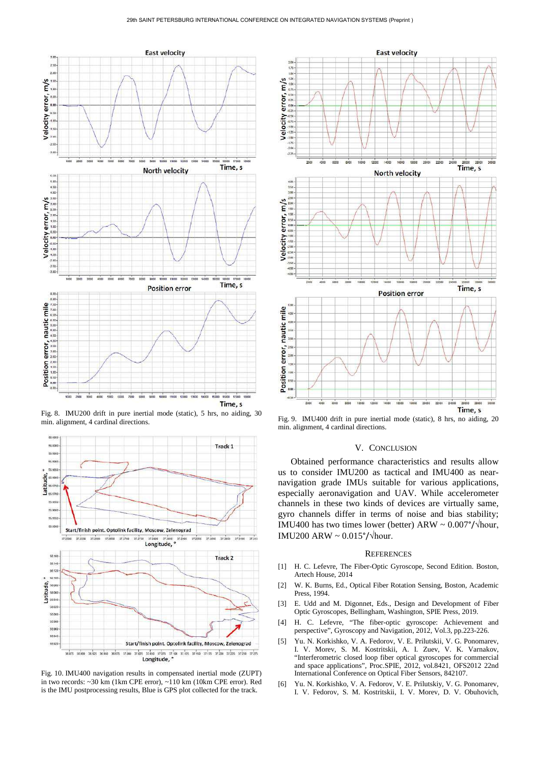

Fig. 8. IMU200 drift in pure inertial mode (static), 5 hrs, no aiding, 30



Fig. 10. IMU400 navigation results in compensated inertial mode (ZUPT) in two records: ~30 km (1km CPE error), ~110 km (10km CPE error). Red is the IMU postprocessing results, Blue is GPS plot collected for the track.



Fig. 9. IMU400 drift in pure inertial mode (static), 8 hrs, no aiding, 20 min. alignment, 4 cardinal directions.

## V. CONCLUSION

Obtained performance characteristics and results allow us to consider IMU200 as tactical and IMU400 as nearnavigation grade IMUs suitable for various applications, especially aeronavigation and UAV. While accelerometer channels in these two kinds of devices are virtually same, gyro channels differ in terms of noise and bias stability; IMU400 has two times lower (better) ARW ~  $0.007^{\circ}/\text{hour}$ , IMU200 ARW ~ 0.015°/√hour.

### **REFERENCES**

- [1] H. C. Lefevre, The Fiber-Optic Gyroscope, Second Edition. Boston, Artech House, 2014
- [2] W. K. Burns, Ed., Optical Fiber Rotation Sensing, Boston, Academic Press, 1994.
- [3] E. Udd and M. Digonnet, Eds., Design and Development of Fiber Optic Gyroscopes, Bellingham, Washington, SPIE Press, 2019.
- [4] H. C. Lefevre, "The fiber-optic gyroscope: Achievement and perspective", Gyroscopy and Navigation, 2012, Vol.3, pp.223-226.
- [5] Yu. N. Korkishko, V. A. Fedorov, V. E. Prilutskii, V. G. Ponomarev, I. V. Morev, S. M. Kostritskii, A. I. Zuev, V. K. Varnakov, "Interferometric closed loop fiber optical gyroscopes for commercial and space applications", Proc.SPIE, 2012, vol.8421, OFS2012 22nd International Conference on Optical Fiber Sensors, 842107.
- [6] Yu. N. Korkishko, V. A. Fedorov, V. E. Prilutskiy, V. G. Ponomarev, I. V. Fedorov, S. M. Kostritskii, I. V. Morev, D. V. Obuhovich,